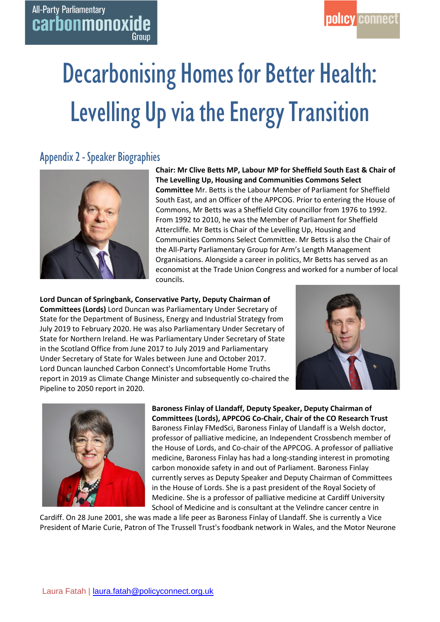# Decarbonising Homes for Better Health: Levelling Up via the Energy Transition

# Appendix 2 - Speaker Biographies

**All-Party Parliamentary** 

carbonmonoxide

Group



**Chair: Mr Clive Betts MP, Labour MP for Sheffield South East & Chair of The Levelling Up, Housing and Communities Commons Select Committee** Mr. Betts is the Labour Member of Parliament for Sheffield South East, and an Officer of the APPCOG. Prior to entering the House of Commons, Mr Betts was a Sheffield City councillor from 1976 to 1992. From 1992 to 2010, he was the Member of Parliament for Sheffield Attercliffe. Mr Betts is Chair of the Levelling Up, Housing and Communities Commons Select Committee. Mr Betts is also the Chair of the All-Party Parliamentary Group for Arm's Length Management Organisations. Alongside a career in politics, Mr Betts has served as an economist at the Trade Union Congress and worked for a number of local councils.

**Lord Duncan of Springbank, Conservative Party, Deputy Chairman of Committees (Lords)** Lord Duncan was Parliamentary Under Secretary of State for the Department of Business, Energy and Industrial Strategy from July 2019 to February 2020. He was also Parliamentary Under Secretary of State for Northern Ireland. He was Parliamentary Under Secretary of State in the Scotland Office from June 2017 to July 2019 and Parliamentary Under Secretary of State for Wales between June and October 2017. Lord Duncan launched Carbon Connect's Uncomfortable Home Truths report in 2019 as Climate Change Minister and subsequently co-chaired the Pipeline to 2050 report in 2020.





**Baroness Finlay of Llandaff, Deputy Speaker, Deputy Chairman of Committees (Lords), APPCOG Co-Chair, Chair of the CO Research Trust** Baroness Finlay FMedSci, Baroness Finlay of Llandaff is a Welsh doctor, professor of palliative medicine, an Independent Crossbench member of the House of Lords, and Co-chair of the APPCOG. A professor of palliative medicine, Baroness Finlay has had a long-standing interest in promoting carbon monoxide safety in and out of Parliament. Baroness Finlay currently serves as Deputy Speaker and Deputy Chairman of Committees in the House of Lords. She is a past president of the Royal Society of Medicine. She is a professor of palliative medicine at Cardiff University School of Medicine and is consultant at the Velindre cancer centre in

Cardiff. On 28 June 2001, she was made a life peer as Baroness Finlay of Llandaff. She is currently a Vice President of Marie Curie, Patron of The Trussell Trust's foodbank network in Wales, and the Motor Neurone